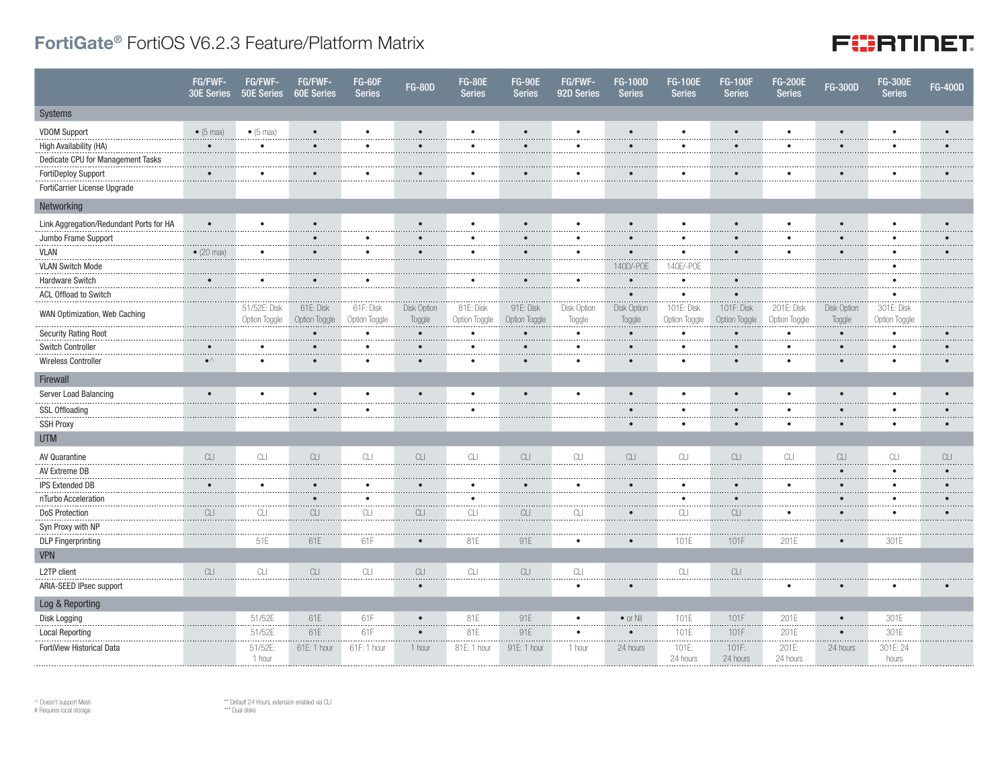## FortiGate® FortiOS V6.2.3 Feature/Platform Matrix

## **FURTINET**

|                                         | FG/FWF-<br>30E Series | FG/FWF-<br>50E Series                                                                        | FG/FWF-<br><b>60E Series</b>             | <b>FG-60F</b><br><b>Series</b> | <b>FG-80D</b>         | <b>FG-80E</b><br><b>Series</b> | <b>FG-90E</b><br><b>Series</b> | FG/FWF-<br>92D Series | <b>FG-100D</b><br><b>Series</b> | <b>FG-100E</b><br><b>Series</b> | <b>FG-100F</b><br><b>Series</b> | <b>FG-200E</b><br><b>Series</b> | <b>FG-300D</b>                           | <b>FG-300E</b><br><b>Series</b> | <b>FG-400D</b> |
|-----------------------------------------|-----------------------|----------------------------------------------------------------------------------------------|------------------------------------------|--------------------------------|-----------------------|--------------------------------|--------------------------------|-----------------------|---------------------------------|---------------------------------|---------------------------------|---------------------------------|------------------------------------------|---------------------------------|----------------|
| Systems                                 |                       |                                                                                              |                                          |                                |                       |                                |                                |                       |                                 |                                 |                                 |                                 |                                          |                                 |                |
| <b>VDOM Support</b>                     | $\bullet$ (5 max)     | $\bullet$ (5 max)                                                                            | $\bullet$                                | $\bullet$                      | $\bullet$             | $\bullet$                      | $\bullet$                      | $\bullet$             | $\bullet$                       | $\bullet$                       |                                 | $\bullet$                       | $\bullet$                                | $\bullet$                       | $\bullet$      |
| High Availability (HA)                  | $\bullet$             | $\bullet$                                                                                    | $\bullet$                                | $\bullet$                      | $\bullet$             | $\bullet$                      | $\bullet$                      | $\bullet$             | $\bullet$                       | $\bullet$                       | $\bullet$                       | $\bullet$                       | $\bullet$                                | $\bullet$                       | $\bullet$      |
| Dedicate CPU for Management Tasks       |                       |                                                                                              |                                          |                                |                       |                                |                                |                       |                                 |                                 |                                 |                                 |                                          |                                 |                |
| FortiDeploy Support                     | $\bullet$             | $\bullet$                                                                                    | $\bullet$                                | ٠                              |                       |                                |                                | ٠                     |                                 |                                 |                                 |                                 | $\bullet$                                | $\bullet$                       |                |
| FortiCarrier License Upgrade            |                       |                                                                                              |                                          |                                |                       |                                |                                |                       |                                 |                                 |                                 |                                 |                                          |                                 |                |
| Networking                              |                       |                                                                                              |                                          |                                |                       |                                |                                |                       |                                 |                                 |                                 |                                 |                                          |                                 |                |
| Link Aggregation/Redundant Ports for HA | $\bullet$             | $\bullet$                                                                                    | $\bullet$                                |                                |                       | $\bullet$                      | $\bullet$                      | ٠                     | $\bullet$                       |                                 |                                 | $\bullet$                       | $\bullet$                                | $\bullet$                       |                |
| Jumbo Frame Support                     |                       |                                                                                              | $\bullet$                                | $\bullet$                      | $\bullet$             | $\bullet$                      | $\bullet$                      | $\bullet$             | $\bullet$                       |                                 |                                 |                                 | $\bullet$                                | $\bullet$                       |                |
| <b>VLAN</b>                             | $\bullet$ (20 max)    | $\bullet$                                                                                    | $\bullet$                                | $\bullet$                      | $\bullet$             | $\bullet$                      |                                | ٠                     | $\bullet$                       |                                 |                                 | $\bullet$                       | $\bullet$                                | $\bullet$                       |                |
| <b>VLAN Switch Mode</b>                 |                       |                                                                                              |                                          |                                |                       |                                |                                |                       | 140D/-POE                       | 140E/-POE                       |                                 |                                 |                                          | $\bullet$                       |                |
| Hardware Switch                         | $\bullet$             | $\bullet$                                                                                    | $\bullet$                                | $\bullet$                      |                       | $\bullet$                      |                                | $\bullet$             | $\bullet$                       | $\bullet$                       |                                 |                                 |                                          | $\bullet$                       |                |
| ACL Offload to Switch                   |                       |                                                                                              |                                          |                                |                       |                                |                                |                       |                                 |                                 |                                 |                                 |                                          | $\bullet$                       |                |
| WAN Optimization, Web Caching           |                       | 51/52E: Disk<br>Option Toggle                                                                | 61E: Disk<br>Option Toggle               | 61F: Disk<br>Option Toggle     | Disk Option<br>Toggle | 81E: Disk<br>Option Toggle     | 91E: Disk<br>Option Toggle     | Disk Option<br>Toggle | Disk Option<br>Toggle           | 101E: Disk<br>Option Toggle     | 101F: Disk<br>Option Toggle     | 201E: Disk<br>Option Toggle     | Disk Option<br>Toggle                    | 301E: Disk<br>Option Toggle     |                |
| <b>Security Rating Root</b>             |                       |                                                                                              | $\bullet$                                | $\bullet$                      | $\bullet$             | $\bullet$                      |                                | $\bullet$             | $\bullet$                       | $\bullet$                       | ×                               | $\bullet$                       | $\bullet$                                | $\bullet$                       |                |
| Switch Controller                       | $\bullet$             | $\bullet$                                                                                    | $\bullet$                                | $\bullet$                      | $\bullet$             | $\bullet$                      | $\bullet$                      | $\bullet$             | $\bullet$                       | $\bullet$                       | $\bullet$                       | $\bullet$                       | $\bullet$                                | $\bullet$                       |                |
| Wireless Controller                     | $\bullet\land$        | $\bullet$                                                                                    | $\bullet$                                | $\bullet$                      | $\bullet$             | $\bullet$                      | $\bullet$                      | ٠                     | $\bullet$                       |                                 | $\bullet$                       | $\bullet$                       | $\bullet$                                | $\bullet$                       |                |
| Firewall                                |                       |                                                                                              |                                          |                                |                       |                                |                                |                       |                                 |                                 |                                 |                                 |                                          |                                 |                |
| Server Load Balancing                   | $\bullet$             | $\bullet$                                                                                    | $\bullet$                                | $\bullet$                      | $\bullet$             | $\bullet$                      | $\bullet$                      | $\bullet$             | $\bullet$                       | $\bullet$                       |                                 | $\bullet$                       | $\bullet$                                | $\bullet$                       | $\bullet$      |
| <b>SSL Offloading</b>                   |                       |                                                                                              | $\bullet$                                | $\bullet$                      |                       | $\bullet$                      |                                |                       |                                 |                                 |                                 | ٠                               | $\bullet$                                | $\bullet$                       |                |
| <b>SSH Proxy</b>                        |                       |                                                                                              |                                          |                                |                       |                                |                                |                       | $\bullet$                       |                                 | $\bullet$                       | $\bullet$                       | $\bullet$                                | $\bullet$                       | $\bullet$      |
| <b>UTM</b>                              |                       |                                                                                              |                                          |                                |                       |                                |                                |                       |                                 |                                 |                                 |                                 |                                          |                                 |                |
| AV Quarantine                           | CLI                   | $\ensuremath{\mathbb{C}}\xspace\ensuremath{\mathbb{L}}\xspace\ensuremath{\mathbb{L}}\xspace$ | CLI                                      | CL                             | CLI                   | CLI                            | CLI                            | CL                    | CLI                             | CLI                             | CLI                             | CLI                             | $\ensuremath{\mathop{\text{CL}}}\xspace$ | CL                              | CLI            |
| AV Extreme DB                           |                       |                                                                                              |                                          |                                |                       |                                |                                |                       |                                 |                                 |                                 |                                 | $\bullet$                                | $\bullet$                       | $\bullet$      |
| <b>IPS Extended DB</b>                  | $\bullet$             | $\bullet$<br>.                                                                               | $\bullet$<br>$\cdots$                    | $\bullet$<br>                  | $\bullet$             | $\bullet$<br>.                 |                                | $\bullet$             | $\bullet$                       | $\bullet$<br>.                  | $\bullet$                       | $\bullet$                       | $\bullet$<br>.                           | $\bullet$<br>                   |                |
| nTurbo Acceleration                     |                       | .                                                                                            | $\bullet$<br>.                           | $\bullet$<br>.                 |                       | $\bullet$<br>                  |                                |                       |                                 | $\cdots$                        | $\bullet$<br>.                  |                                 | $\bullet$<br>$\cdots$                    | $\bullet$<br>.                  |                |
| <b>DoS Protection</b>                   | $\mathbb{C}\square$   | CLI                                                                                          | $\ensuremath{\mathop{\text{CL}}}\xspace$ | $\ensuremath{\textrm{CL}}$     | CLI                   | CLI                            | $CLI$                          | CLI                   | $\bullet$                       | CL                              | CLI                             | $\bullet$                       | $\bullet$                                | $\bullet$                       |                |
| Syn Proxy with NP                       |                       |                                                                                              |                                          |                                |                       |                                |                                |                       |                                 |                                 |                                 |                                 |                                          |                                 |                |
| <b>DLP</b> Fingerprinting               |                       | 51E                                                                                          | 61E                                      | 61F                            | $\bullet$             | 81E                            | 91E                            | $\bullet$             | $\bullet$                       | 101E                            | 101F                            | 201E                            | $\bullet$                                | 301E                            |                |
| <b>VPN</b>                              |                       |                                                                                              |                                          |                                |                       |                                |                                |                       |                                 |                                 |                                 |                                 |                                          |                                 |                |
| L2TP client                             | CLI                   | CLI                                                                                          | CLI                                      | CLI                            | CLI                   | CLI                            | CLI                            | CLI                   |                                 | CLI                             | CLI                             |                                 |                                          |                                 |                |
| ARIA-SEED IPsec support                 |                       |                                                                                              |                                          |                                | $\bullet$             |                                |                                | $\bullet$             | $\bullet$                       |                                 |                                 | $\bullet$                       | $\bullet$                                |                                 |                |
| Log & Reporting                         |                       |                                                                                              |                                          |                                |                       |                                |                                |                       |                                 |                                 |                                 |                                 |                                          |                                 |                |
| Disk Logging                            |                       | 51/52E                                                                                       | 61E                                      | 61F                            | $\bullet$             | 81E                            | 91E                            | $\bullet$             | $\bullet$ or Nil                | 101E                            | 101F                            | 201E                            | $\bullet$                                | 301E                            |                |
| <b>Local Reporting</b>                  |                       | 51/52E                                                                                       | 61E                                      | 61F                            | $\bullet$             | 81E                            | 91E                            | $\bullet$<br>$\cdots$ | $\bullet$<br>.                  | 101E<br>.                       | 101F                            | 201E<br>.                       | $\bullet$<br>.                           | 301E<br>.                       |                |
| FortiView Historical Data               |                       | 51/52E:<br>1 hour                                                                            | 61E: 1 hour                              | 61F: 1 hour                    | 1 hour                | 81E: 1 hour                    | 91E: 1 hour                    | 1 hour                | 24 hours                        | 101E:<br>24 hours               | 101F:<br>24 hours               | 201E:<br>24 hours               | 24 hours                                 | 301E: 24<br>hours               |                |

 $\land$  Doesn't support Mesh # Requires local storage

\*\* Default 24 Hours, extension enabled via CLI \*\*\* Dual disks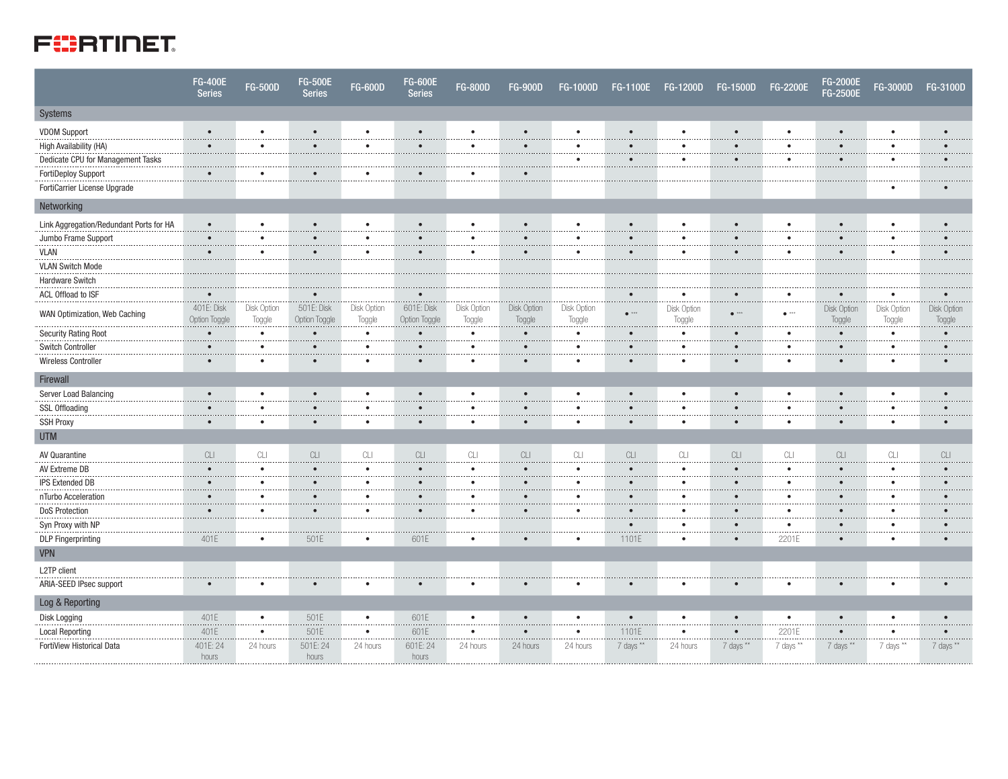## **FIERTINET**

|                                         | <b>FG-400E</b><br><b>Series</b>                                                              | <b>FG-500D</b>             | <b>FG-500E</b><br><b>Series</b> | <b>FG-600D</b>             | <b>FG-600E</b><br><b>Series</b>          | <b>FG-800D</b>                                                                               | <b>FG-900D</b>                                                                        | FG-1000D                   | <b>FG-1100E</b>                                                                       | FG-1200D                                                                              | <b>FG-1500D</b>                          | <b>FG-2200E</b>                                                                       | FG-2000E<br>FG-2500E                                                                         | <b>FG-3000D</b>            | FG-3100D                   |
|-----------------------------------------|----------------------------------------------------------------------------------------------|----------------------------|---------------------------------|----------------------------|------------------------------------------|----------------------------------------------------------------------------------------------|---------------------------------------------------------------------------------------|----------------------------|---------------------------------------------------------------------------------------|---------------------------------------------------------------------------------------|------------------------------------------|---------------------------------------------------------------------------------------|----------------------------------------------------------------------------------------------|----------------------------|----------------------------|
| Systems                                 |                                                                                              |                            |                                 |                            |                                          |                                                                                              |                                                                                       |                            |                                                                                       |                                                                                       |                                          |                                                                                       |                                                                                              |                            |                            |
| <b>VDOM Support</b>                     | $\bullet$                                                                                    | $\bullet$                  | $\bullet$                       | $\bullet$                  | $\bullet$                                | $\bullet$                                                                                    | $\bullet$                                                                             | $\bullet$                  | $\bullet$                                                                             | $\bullet$                                                                             | $\bullet$                                | $\bullet$                                                                             | $\bullet$                                                                                    | $\bullet$                  | $\bullet$                  |
| High Availability (HA)                  | $\bullet$                                                                                    | $\bullet$                  | $\bullet$                       | $\bullet$                  | $\bullet$                                | $\bullet$                                                                                    | $\bullet$                                                                             | $\bullet$                  | $\bullet$                                                                             | $\bullet$                                                                             | $\bullet$                                | $\bullet$                                                                             | $\bullet$                                                                                    | $\bullet$                  | $\bullet$                  |
| Dedicate CPU for Management Tasks       |                                                                                              |                            |                                 |                            |                                          |                                                                                              |                                                                                       | ٠                          | $\bullet$                                                                             | ٠                                                                                     | $\bullet$                                | $\bullet$                                                                             | $\bullet$                                                                                    | $\bullet$                  |                            |
| <b>FortiDeploy Support</b>              | $\bullet$                                                                                    | $\bullet$                  | $\bullet$                       | $\bullet$                  | $\bullet$                                | $\bullet$                                                                                    | $\bullet$                                                                             |                            |                                                                                       |                                                                                       |                                          |                                                                                       |                                                                                              |                            |                            |
| FortiCarrier License Upgrade            |                                                                                              |                            |                                 |                            |                                          |                                                                                              |                                                                                       |                            |                                                                                       |                                                                                       |                                          |                                                                                       |                                                                                              | ٠                          |                            |
| Networking                              |                                                                                              |                            |                                 |                            |                                          |                                                                                              |                                                                                       |                            |                                                                                       |                                                                                       |                                          |                                                                                       |                                                                                              |                            |                            |
| Link Aggregation/Redundant Ports for HA | $\bullet$                                                                                    | $\bullet$                  | $\bullet$                       | $\bullet$                  | $\bullet$                                |                                                                                              | $\bullet$                                                                             | $\bullet$                  | $\bullet$                                                                             | $\bullet$                                                                             |                                          | $\bullet$                                                                             | $\bullet$                                                                                    | $\bullet$                  |                            |
| Jumbo Frame Support                     | $\bullet$                                                                                    | .<br>$\bullet$<br>.        | $\bullet$                       | .<br>٠<br>$\cdots$         | $\bullet$                                | .<br>$\bullet$                                                                               | .<br>$\bullet$                                                                        | .<br>$\bullet$             | $\bullet$                                                                             | .<br>٠                                                                                |                                          | .<br>$\bullet$<br>.                                                                   | $\bullet$<br>.                                                                               | .<br>$\bullet$             |                            |
| <b>VLAN</b>                             | $\bullet$                                                                                    | $\bullet$                  | $\bullet$                       | $\bullet$                  | $\bullet$                                | $\bullet$                                                                                    | $\bullet$                                                                             | $\bullet$                  | $\bullet$                                                                             | $\bullet$                                                                             | $\bullet$                                | $\bullet$                                                                             | $\bullet$                                                                                    | $\bullet$                  |                            |
| <b>VLAN Switch Mode</b>                 |                                                                                              |                            |                                 |                            |                                          |                                                                                              |                                                                                       |                            |                                                                                       |                                                                                       |                                          |                                                                                       |                                                                                              |                            |                            |
| Hardware Switch                         |                                                                                              |                            |                                 |                            |                                          |                                                                                              |                                                                                       |                            |                                                                                       |                                                                                       |                                          |                                                                                       |                                                                                              |                            |                            |
| ACL Offload to ISF                      |                                                                                              |                            | $\bullet$                       |                            | $\bullet$                                |                                                                                              |                                                                                       |                            | .                                                                                     | ٠                                                                                     |                                          | $\bullet$<br>$\cdots$                                                                 | $\bullet$                                                                                    | $\bullet$                  | .                          |
| WAN Optimization, Web Caching           | 401E: Disk<br>Option Toggle                                                                  | Disk Option<br>Toggle      | 501E: Disk<br>Option Toggle     | Disk Option<br>Toggle      | 601E: Disk<br>Option Toggle              | Disk Option<br>Toggle                                                                        | Disk Option<br>Toggle                                                                 | Disk Option<br>Toggle      | $\bullet$ **                                                                          | Disk Option<br>Toggle                                                                 | $e^{i\pi i}$<br>.                        | $\bullet$ $^{***}$<br>.                                                               | Disk Option<br>Toggle                                                                        | Disk Option<br>Toggle      | Disk Option<br>Toggle      |
| <b>Security Rating Root</b>             | $\bullet$                                                                                    | $\bullet$<br>              | $\bullet$<br>.                  | $\bullet$<br>.             | $\bullet$                                | $\bullet$                                                                                    | $\bullet$                                                                             | $\bullet$<br>.             | $\bullet$                                                                             | ٠                                                                                     |                                          | $\bullet$<br>                                                                         | $\bullet$<br>.                                                                               | $\bullet$<br>.             | $\bullet$                  |
| <b>Switch Controller</b>                | $\bullet$                                                                                    | $\bullet$                  | $\bullet$                       | ٠                          | $\bullet$                                | $\bullet$                                                                                    | $\bullet$                                                                             | $\bullet$                  | $\bullet$                                                                             | $\bullet$                                                                             | $\bullet$                                | $\bullet$                                                                             | $\bullet$                                                                                    | $\bullet$                  | $\bullet$                  |
| <b>Wireless Controller</b>              | $\bullet$                                                                                    | $\bullet$                  | $\bullet$                       | $\bullet$                  | $\bullet$                                | $\bullet$                                                                                    | $\bullet$                                                                             | $\bullet$                  | $\bullet$                                                                             | ٠                                                                                     | $\bullet$                                | $\bullet$                                                                             | $\bullet$                                                                                    | $\bullet$                  | $\bullet$                  |
| Firewall                                |                                                                                              |                            |                                 |                            |                                          |                                                                                              |                                                                                       |                            |                                                                                       |                                                                                       |                                          |                                                                                       |                                                                                              |                            |                            |
| Server Load Balancing                   | $\bullet$                                                                                    | $\bullet$                  | $\bullet$                       | $\bullet$                  | $\bullet$                                | $\bullet$                                                                                    | $\bullet$                                                                             | $\bullet$                  | $\bullet$                                                                             | $\bullet$                                                                             | $\bullet$                                | $\bullet$                                                                             | $\bullet$                                                                                    | $\bullet$                  | $\bullet$                  |
| <b>SSL Offloading</b>                   |                                                                                              | $\bullet$                  | $\bullet$                       | $\bullet$                  | $\bullet$                                | $\bullet$                                                                                    | $\bullet$                                                                             | $\bullet$                  | $\bullet$                                                                             | $\bullet$                                                                             | $\bullet$                                | $\bullet$                                                                             | $\bullet$                                                                                    | $\bullet$                  |                            |
| <b>SSH Proxy</b>                        | $\bullet$                                                                                    | $\bullet$                  | $\bullet$                       | $\bullet$                  | $\bullet$                                | $\bullet$                                                                                    | $\bullet$                                                                             | $\bullet$                  | $\bullet$                                                                             | $\bullet$                                                                             | $\bullet$                                | $\bullet$                                                                             | $\bullet$                                                                                    | $\bullet$                  | $\bullet$                  |
| <b>UTM</b>                              |                                                                                              |                            |                                 |                            |                                          |                                                                                              |                                                                                       |                            |                                                                                       |                                                                                       |                                          |                                                                                       |                                                                                              |                            |                            |
| AV Quarantine                           | $\ensuremath{\mathbb{C}}\xspace\ensuremath{\mathbb{L}}\xspace\ensuremath{\mathbb{L}}\xspace$ | $\ensuremath{\textrm{CL}}$ | $\ensuremath{\textrm{CL}}$      | $\ensuremath{\textrm{CL}}$ | $\ensuremath{\mathop{\text{CL}}}\xspace$ | $\ensuremath{\mathbb{C}}\xspace\ensuremath{\mathbb{L}}\xspace\ensuremath{\mathbb{L}}\xspace$ | $\ensuremath{\mathbb{C}}\xspace\ensuremath{\mathbb{L}}\xspace\ensuremath{\mathbb{I}}$ | $\ensuremath{\textrm{CL}}$ | $\ensuremath{\mathbb{C}}\xspace\ensuremath{\mathbb{L}}\xspace\ensuremath{\mathbb{I}}$ | $\ensuremath{\mathbb{C}}\xspace\ensuremath{\mathbb{L}}\xspace\ensuremath{\mathbb{I}}$ | $\ensuremath{\mathop{\text{CL}}}\xspace$ | $\ensuremath{\mathbb{C}}\xspace\ensuremath{\mathbb{L}}\xspace\ensuremath{\mathbb{I}}$ | $\ensuremath{\mathbb{C}}\xspace\ensuremath{\mathbb{L}}\xspace\ensuremath{\mathbb{L}}\xspace$ | $\ensuremath{\textrm{CL}}$ | $\ensuremath{\textrm{CL}}$ |
| AV Extreme DB                           | .                                                                                            | $\bullet$<br>.             | $\bullet$<br>.                  | $\bullet$<br>.             | $\bullet$                                | $\bullet$<br>.                                                                               | $\bullet$<br>1.11                                                                     | $\bullet$<br>.             | $\bullet$                                                                             | $\bullet$<br>.                                                                        | $\bullet$<br>1.11                        | $\bullet$<br>.                                                                        | $\bullet$<br>.                                                                               | $\bullet$<br>.             |                            |
| <b>IPS Extended DB</b>                  | $\bullet$<br>.                                                                               | $\bullet$<br>.             | $\bullet$<br>.                  | $\bullet$<br>.             | $\bullet$                                | $\bullet$<br>.                                                                               | .                                                                                     | $\bullet$<br>.             | $\bullet$<br>1.111                                                                    | ٠<br>$\cdots$                                                                         | $\bullet$<br>.                           | $\bullet$<br>.                                                                        | $\bullet$<br>.                                                                               | $\bullet$<br>.             |                            |
| nTurbo Acceleration                     | $\bullet$                                                                                    | $\bullet$<br>              | $\bullet$                       | $\bullet$<br>.             | $\bullet$                                | $\bullet$                                                                                    | $\bullet$                                                                             | $\bullet$                  | $\bullet$                                                                             | ٠                                                                                     | $\bullet$                                | $\bullet$<br>.                                                                        | $\bullet$                                                                                    | $\bullet$<br>.             |                            |
| <b>DoS Protection</b>                   |                                                                                              | $\bullet$                  | $\bullet$                       | $\bullet$                  | ٠                                        |                                                                                              | $\bullet$                                                                             | ٠                          | $\epsilon$                                                                            |                                                                                       | $\bullet$                                | $\bullet$                                                                             | $\bullet$                                                                                    | ٠                          |                            |
| Syn Proxy with NP                       |                                                                                              |                            |                                 |                            |                                          |                                                                                              |                                                                                       |                            |                                                                                       | ٠                                                                                     | $\bullet$                                | $\bullet$<br>                                                                         | $\bullet$                                                                                    | $\bullet$                  |                            |
| <b>DLP</b> Fingerprinting               | 401E                                                                                         | $\bullet$                  | 501E                            | $\bullet$                  | 601E                                     |                                                                                              |                                                                                       |                            | 1101E                                                                                 | ٠                                                                                     | $\bullet$                                | 2201E                                                                                 | $\bullet$                                                                                    | $\bullet$                  |                            |
| <b>VPN</b>                              |                                                                                              |                            |                                 |                            |                                          |                                                                                              |                                                                                       |                            |                                                                                       |                                                                                       |                                          |                                                                                       |                                                                                              |                            |                            |
| L2TP client                             |                                                                                              |                            |                                 |                            |                                          |                                                                                              |                                                                                       |                            |                                                                                       |                                                                                       |                                          |                                                                                       |                                                                                              |                            |                            |
| ARIA-SEED IPsec support                 | $\bullet$                                                                                    | $\bullet$                  | $\bullet$                       | $\bullet$                  | $\bullet$                                | $\bullet$                                                                                    |                                                                                       | $\bullet$                  | $\bullet$                                                                             | ٠                                                                                     | $\bullet$                                | $\bullet$                                                                             | $\bullet$                                                                                    | $\bullet$                  |                            |
| Log & Reporting                         |                                                                                              |                            |                                 |                            |                                          |                                                                                              |                                                                                       |                            |                                                                                       |                                                                                       |                                          |                                                                                       |                                                                                              |                            |                            |
| Disk Logging                            | 401E                                                                                         | $\bullet$                  | 501E                            | $\bullet$                  | 601E                                     | $\bullet$                                                                                    | $\bullet$                                                                             | $\bullet$                  | $\bullet$                                                                             | $\bullet$                                                                             | $\bullet$                                | $\bullet$                                                                             | $\bullet$                                                                                    | $\bullet$                  | $\bullet$                  |
| <b>Local Reporting</b>                  | 401E                                                                                         | $\bullet$                  | 501E                            | $\bullet$                  | 601E                                     | $\bullet$                                                                                    | $\bullet$                                                                             | $\bullet$                  | 1101E                                                                                 | $\bullet$                                                                             | $\bullet$                                | 2201E                                                                                 | $\bullet$                                                                                    | $\bullet$                  | $\bullet$                  |
| FortiView Historical Data               | 401E: 24<br>hours                                                                            | 24 hours                   | 501E: 24<br>hours               | 24 hours                   | 601E: 24<br>hours                        | 24 hours                                                                                     | 24 hours                                                                              | 24 hours                   | 7 days **                                                                             | 24 hours                                                                              | 7 days **                                | 7 days **                                                                             | 7 days **                                                                                    | 7 days **                  | 7 days **                  |